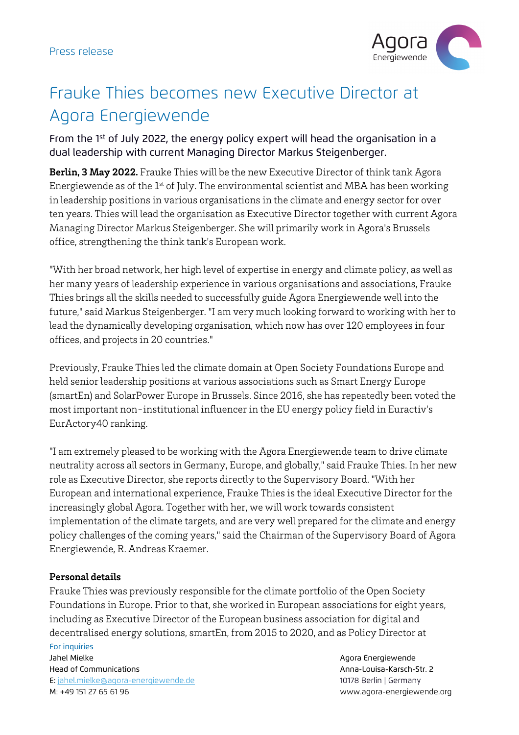

## Frauke Thies becomes new Executive Director at Agora Energiewende

From the 1st of July 2022, the energy policy expert will head the organisation in a dual leadership with current Managing Director Markus Steigenberger.

**Berlin, 3 May 2022.** Frauke Thies will be the new Executive Director of think tank Agora Energiewende as of the  $1^{st}$  of July. The environmental scientist and MBA has been working in leadership positions in various organisations in the climate and energy sector for over ten years. Thies will lead the organisation as Executive Director together with current Agora Managing Director Markus Steigenberger. She will primarily work in Agora's Brussels office, strengthening the think tank's European work.

"With her broad network, her high level of expertise in energy and climate policy, as well as her many years of leadership experience in various organisations and associations, Frauke Thies brings all the skills needed to successfully guide Agora Energiewende well into the future," said Markus Steigenberger. "I am very much looking forward to working with her to lead the dynamically developing organisation, which now has over 120 employees in four offices, and projects in 20 countries."

Previously, Frauke Thies led the climate domain at Open Society Foundations Europe and held senior leadership positions at various associations such as Smart Energy Europe (smartEn) and SolarPower Europe in Brussels. Since 2016, she has repeatedly been voted the most important non-institutional influencer in the EU energy policy field in Euractiv's EurActory40 ranking.

"I am extremely pleased to be working with the Agora Energiewende team to drive climate neutrality across all sectors in Germany, Europe, and globally," said Frauke Thies. In her new role as Executive Director, she reports directly to the Supervisory Board. "With her European and international experience, Frauke Thies is the ideal Executive Director for the increasingly global Agora. Together with her, we will work towards consistent implementation of the climate targets, and are very well prepared for the climate and energy policy challenges of the coming years," said the Chairman of the Supervisory Board of Agora Energiewende, R. Andreas Kraemer.

### **Personal details**

Frauke Thies was previously responsible for the climate portfolio of the Open Society Foundations in Europe. Prior to that, she worked in European associations for eight years, including as Executive Director of the European business association for digital and decentralised energy solutions, smartEn, from 2015 to 2020, and as Policy Director at

# For inquiries Jahel Mielke Agora Energiewende

Head of Communications Anna-Louisa-Karsch-Str. 2

E: jahel.mielke@agora-energiewende.de 10178 Berlin | Germany M: +49 151 27 65 61 96 www.agora-energiewende.org